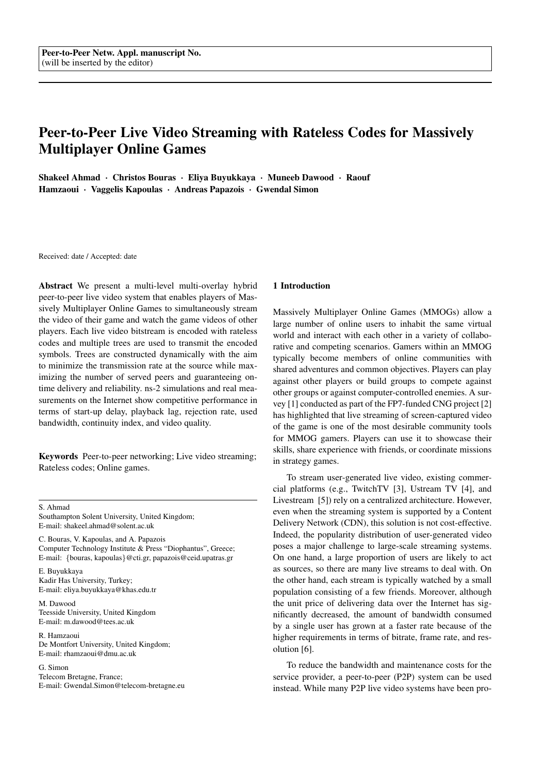# Peer-to-Peer Live Video Streaming with Rateless Codes for Massively Multiplayer Online Games

Shakeel Ahmad · Christos Bouras · Eliya Buyukkaya · Muneeb Dawood · Raouf Hamzaoui · Vaggelis Kapoulas · Andreas Papazois · Gwendal Simon

Received: date / Accepted: date

Abstract We present a multi-level multi-overlay hybrid peer-to-peer live video system that enables players of Massively Multiplayer Online Games to simultaneously stream the video of their game and watch the game videos of other players. Each live video bitstream is encoded with rateless codes and multiple trees are used to transmit the encoded symbols. Trees are constructed dynamically with the aim to minimize the transmission rate at the source while maximizing the number of served peers and guaranteeing ontime delivery and reliability. ns-2 simulations and real measurements on the Internet show competitive performance in terms of start-up delay, playback lag, rejection rate, used bandwidth, continuity index, and video quality.

Keywords Peer-to-peer networking; Live video streaming; Rateless codes; Online games.

S. Ahmad

Southampton Solent University, United Kingdom; E-mail: shakeel.ahmad@solent.ac.uk

C. Bouras, V. Kapoulas, and A. Papazois Computer Technology Institute & Press "Diophantus", Greece; E-mail: {bouras, kapoulas}@cti.gr, papazois@ceid.upatras.gr

E. Buyukkaya Kadir Has University, Turkey; E-mail: eliya.buyukkaya@khas.edu.tr

M. Dawood Teesside University, United Kingdom E-mail: m.dawood@tees.ac.uk

R. Hamzaoui De Montfort University, United Kingdom; E-mail: rhamzaoui@dmu.ac.uk

G. Simon Telecom Bretagne, France; E-mail: Gwendal.Simon@telecom-bretagne.eu

#### 1 Introduction

Massively Multiplayer Online Games (MMOGs) allow a large number of online users to inhabit the same virtual world and interact with each other in a variety of collaborative and competing scenarios. Gamers within an MMOG typically become members of online communities with shared adventures and common objectives. Players can play against other players or build groups to compete against other groups or against computer-controlled enemies. A survey [1] conducted as part of the FP7-funded CNG project [2] has highlighted that live streaming of screen-captured video of the game is one of the most desirable community tools for MMOG gamers. Players can use it to showcase their skills, share experience with friends, or coordinate missions in strategy games.

To stream user-generated live video, existing commercial platforms (e.g., TwitchTV [3], Ustream TV [4], and Livestream [5]) rely on a centralized architecture. However, even when the streaming system is supported by a Content Delivery Network (CDN), this solution is not cost-effective. Indeed, the popularity distribution of user-generated video poses a major challenge to large-scale streaming systems. On one hand, a large proportion of users are likely to act as sources, so there are many live streams to deal with. On the other hand, each stream is typically watched by a small population consisting of a few friends. Moreover, although the unit price of delivering data over the Internet has significantly decreased, the amount of bandwidth consumed by a single user has grown at a faster rate because of the higher requirements in terms of bitrate, frame rate, and resolution [6].

To reduce the bandwidth and maintenance costs for the service provider, a peer-to-peer (P2P) system can be used instead. While many P2P live video systems have been pro-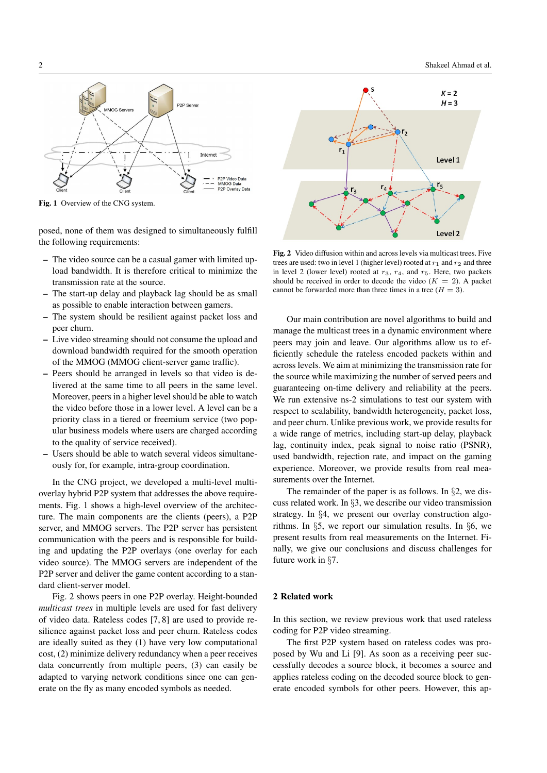P<sub>2</sub>P Serve  $MMOC$  Contact Internet P2P Video Data<br>MMOG Data P2P Overlay Data

Fig. 1 Overview of the CNG system.

posed, none of them was designed to simultaneously fulfill the following requirements:

- The video source can be a casual gamer with limited upload bandwidth. It is therefore critical to minimize the transmission rate at the source.
- The start-up delay and playback lag should be as small as possible to enable interaction between gamers.
- The system should be resilient against packet loss and peer churn.
- Live video streaming should not consume the upload and download bandwidth required for the smooth operation of the MMOG (MMOG client-server game traffic).
- Peers should be arranged in levels so that video is delivered at the same time to all peers in the same level. Moreover, peers in a higher level should be able to watch the video before those in a lower level. A level can be a priority class in a tiered or freemium service (two popular business models where users are charged according to the quality of service received).
- Users should be able to watch several videos simultaneously for, for example, intra-group coordination.

In the CNG project, we developed a multi-level multioverlay hybrid P2P system that addresses the above requirements. Fig. 1 shows a high-level overview of the architecture. The main components are the clients (peers), a P2P server, and MMOG servers. The P2P server has persistent communication with the peers and is responsible for building and updating the P2P overlays (one overlay for each video source). The MMOG servers are independent of the P2P server and deliver the game content according to a standard client-server model.

Fig. 2 shows peers in one P2P overlay. Height-bounded *multicast trees* in multiple levels are used for fast delivery of video data. Rateless codes [7, 8] are used to provide resilience against packet loss and peer churn. Rateless codes are ideally suited as they (1) have very low computational cost, (2) minimize delivery redundancy when a peer receives data concurrently from multiple peers, (3) can easily be adapted to varying network conditions since one can generate on the fly as many encoded symbols as needed.



Fig. 2 Video diffusion within and across levels via multicast trees. Five trees are used: two in level 1 (higher level) rooted at  $r_1$  and  $r_2$  and three in level 2 (lower level) rooted at  $r_3$ ,  $r_4$ , and  $r_5$ . Here, two packets should be received in order to decode the video  $(K = 2)$ . A packet cannot be forwarded more than three times in a tree  $(H = 3)$ .

Our main contribution are novel algorithms to build and manage the multicast trees in a dynamic environment where peers may join and leave. Our algorithms allow us to efficiently schedule the rateless encoded packets within and across levels. We aim at minimizing the transmission rate for the source while maximizing the number of served peers and guaranteeing on-time delivery and reliability at the peers. We run extensive ns-2 simulations to test our system with respect to scalability, bandwidth heterogeneity, packet loss, and peer churn. Unlike previous work, we provide results for a wide range of metrics, including start-up delay, playback lag, continuity index, peak signal to noise ratio (PSNR), used bandwidth, rejection rate, and impact on the gaming experience. Moreover, we provide results from real measurements over the Internet.

The remainder of the paper is as follows. In §2, we discuss related work. In §3, we describe our video transmission strategy. In §4, we present our overlay construction algorithms. In §5, we report our simulation results. In §6, we present results from real measurements on the Internet. Finally, we give our conclusions and discuss challenges for future work in §7.

# 2 Related work

In this section, we review previous work that used rateless coding for P2P video streaming.

The first P2P system based on rateless codes was proposed by Wu and Li [9]. As soon as a receiving peer successfully decodes a source block, it becomes a source and applies rateless coding on the decoded source block to generate encoded symbols for other peers. However, this ap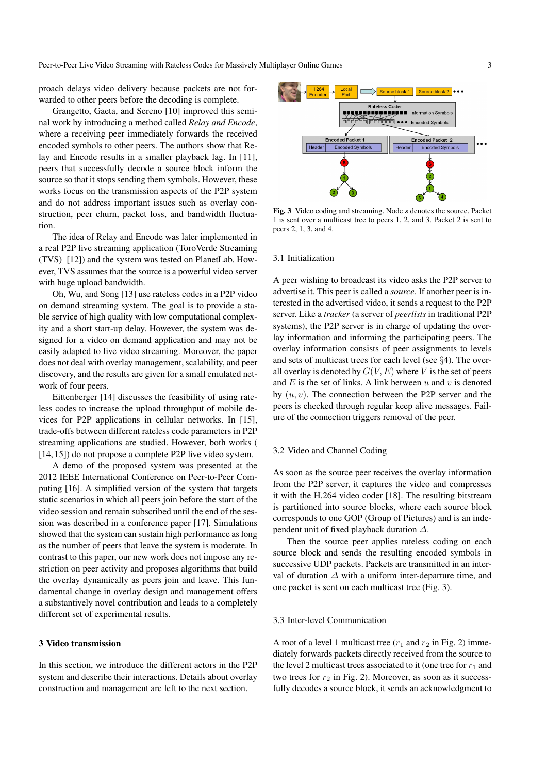proach delays video delivery because packets are not forwarded to other peers before the decoding is complete.

Grangetto, Gaeta, and Sereno [10] improved this seminal work by introducing a method called *Relay and Encode*, where a receiving peer immediately forwards the received encoded symbols to other peers. The authors show that Relay and Encode results in a smaller playback lag. In [11], peers that successfully decode a source block inform the source so that it stops sending them symbols. However, these works focus on the transmission aspects of the P2P system and do not address important issues such as overlay construction, peer churn, packet loss, and bandwidth fluctuation.

The idea of Relay and Encode was later implemented in a real P2P live streaming application (ToroVerde Streaming (TVS) [12]) and the system was tested on PlanetLab. However, TVS assumes that the source is a powerful video server with huge upload bandwidth.

Oh, Wu, and Song [13] use rateless codes in a P2P video on demand streaming system. The goal is to provide a stable service of high quality with low computational complexity and a short start-up delay. However, the system was designed for a video on demand application and may not be easily adapted to live video streaming. Moreover, the paper does not deal with overlay management, scalability, and peer discovery, and the results are given for a small emulated network of four peers.

Eittenberger [14] discusses the feasibility of using rateless codes to increase the upload throughput of mobile devices for P2P applications in cellular networks. In [15], trade-offs between different rateless code parameters in P2P streaming applications are studied. However, both works ( [14, 15]) do not propose a complete P2P live video system.

A demo of the proposed system was presented at the 2012 IEEE International Conference on Peer-to-Peer Computing [16]. A simplified version of the system that targets static scenarios in which all peers join before the start of the video session and remain subscribed until the end of the session was described in a conference paper [17]. Simulations showed that the system can sustain high performance as long as the number of peers that leave the system is moderate. In contrast to this paper, our new work does not impose any restriction on peer activity and proposes algorithms that build the overlay dynamically as peers join and leave. This fundamental change in overlay design and management offers a substantively novel contribution and leads to a completely different set of experimental results.

# 3 Video transmission

In this section, we introduce the different actors in the P2P system and describe their interactions. Details about overlay construction and management are left to the next section.



Fig. 3 Video coding and streaming. Node s denotes the source. Packet 1 is sent over a multicast tree to peers 1, 2, and 3. Packet 2 is sent to peers 2, 1, 3, and 4.

#### 3.1 Initialization

A peer wishing to broadcast its video asks the P2P server to advertise it. This peer is called a *source*. If another peer is interested in the advertised video, it sends a request to the P2P server. Like a *tracker* (a server of *peerlists* in traditional P2P systems), the P2P server is in charge of updating the overlay information and informing the participating peers. The overlay information consists of peer assignments to levels and sets of multicast trees for each level (see §4). The overall overlay is denoted by  $G(V, E)$  where V is the set of peers and  $E$  is the set of links. A link between  $u$  and  $v$  is denoted by  $(u, v)$ . The connection between the P2P server and the peers is checked through regular keep alive messages. Failure of the connection triggers removal of the peer.

# 3.2 Video and Channel Coding

As soon as the source peer receives the overlay information from the P2P server, it captures the video and compresses it with the H.264 video coder [18]. The resulting bitstream is partitioned into source blocks, where each source block corresponds to one GOP (Group of Pictures) and is an independent unit of fixed playback duration  $\Delta$ .

Then the source peer applies rateless coding on each source block and sends the resulting encoded symbols in successive UDP packets. Packets are transmitted in an interval of duration  $\Delta$  with a uniform inter-departure time, and one packet is sent on each multicast tree (Fig. 3).

# 3.3 Inter-level Communication

A root of a level 1 multicast tree  $(r_1$  and  $r_2$  in Fig. 2) immediately forwards packets directly received from the source to the level 2 multicast trees associated to it (one tree for  $r_1$  and two trees for  $r_2$  in Fig. 2). Moreover, as soon as it successfully decodes a source block, it sends an acknowledgment to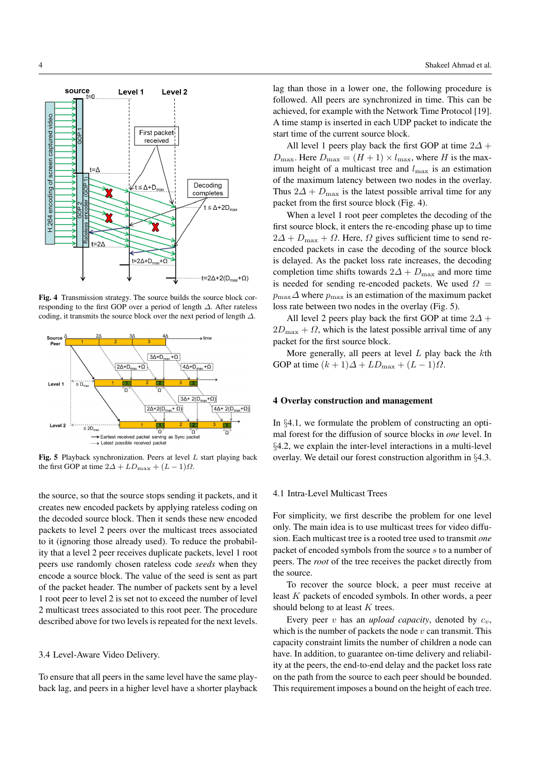

Fig. 4 Transmission strategy. The source builds the source block corresponding to the first GOP over a period of length ∆. After rateless coding, it transmits the source block over the next period of length ∆.



Fig. 5 Playback synchronization. Peers at level  $L$  start playing back the first GOP at time  $2\Delta + LD_{\text{max}} + (L-1)\Omega$ .

the source, so that the source stops sending it packets, and it creates new encoded packets by applying rateless coding on the decoded source block. Then it sends these new encoded packets to level 2 peers over the multicast trees associated to it (ignoring those already used). To reduce the probability that a level 2 peer receives duplicate packets, level 1 root peers use randomly chosen rateless code *seeds* when they encode a source block. The value of the seed is sent as part of the packet header. The number of packets sent by a level 1 root peer to level 2 is set not to exceed the number of level 2 multicast trees associated to this root peer. The procedure described above for two levels is repeated for the next levels.

#### 3.4 Level-Aware Video Delivery.

To ensure that all peers in the same level have the same playback lag, and peers in a higher level have a shorter playback lag than those in a lower one, the following procedure is followed. All peers are synchronized in time. This can be achieved, for example with the Network Time Protocol [19]. A time stamp is inserted in each UDP packet to indicate the start time of the current source block.

All level 1 peers play back the first GOP at time  $2\Delta$  +  $D_{\text{max}}$ . Here  $D_{\text{max}} = (H + 1) \times l_{\text{max}}$ , where H is the maximum height of a multicast tree and  $l_{\text{max}}$  is an estimation of the maximum latency between two nodes in the overlay. Thus  $2\Delta + D_{\text{max}}$  is the latest possible arrival time for any packet from the first source block (Fig. 4).

When a level 1 root peer completes the decoding of the first source block, it enters the re-encoding phase up to time  $2\Delta + D_{\text{max}} + \Omega$ . Here,  $\Omega$  gives sufficient time to send reencoded packets in case the decoding of the source block is delayed. As the packet loss rate increases, the decoding completion time shifts towards  $2\Delta + D_{\text{max}}$  and more time is needed for sending re-encoded packets. We used  $\Omega =$  $p_{\text{max}}\Delta$  where  $p_{\text{max}}$  is an estimation of the maximum packet loss rate between two nodes in the overlay (Fig. 5).

All level 2 peers play back the first GOP at time  $2\Delta$  +  $2D_{\text{max}} + \Omega$ , which is the latest possible arrival time of any packet for the first source block.

More generally, all peers at level  $L$  play back the  $k$ th GOP at time  $(k + 1)\Delta + LD_{\text{max}} + (L - 1)\Omega$ .

#### 4 Overlay construction and management

In §4.1, we formulate the problem of constructing an optimal forest for the diffusion of source blocks in *one* level. In §4.2, we explain the inter-level interactions in a multi-level overlay. We detail our forest construction algorithm in §4.3.

### 4.1 Intra-Level Multicast Trees

For simplicity, we first describe the problem for one level only. The main idea is to use multicast trees for video diffusion. Each multicast tree is a rooted tree used to transmit *one* packet of encoded symbols from the source s to a number of peers. The *root* of the tree receives the packet directly from the source.

To recover the source block, a peer must receive at least K packets of encoded symbols. In other words, a peer should belong to at least  $K$  trees.

Every peer v has an *upload capacity*, denoted by  $c_v$ , which is the number of packets the node  $v$  can transmit. This capacity constraint limits the number of children a node can have. In addition, to guarantee on-time delivery and reliability at the peers, the end-to-end delay and the packet loss rate on the path from the source to each peer should be bounded. This requirement imposes a bound on the height of each tree.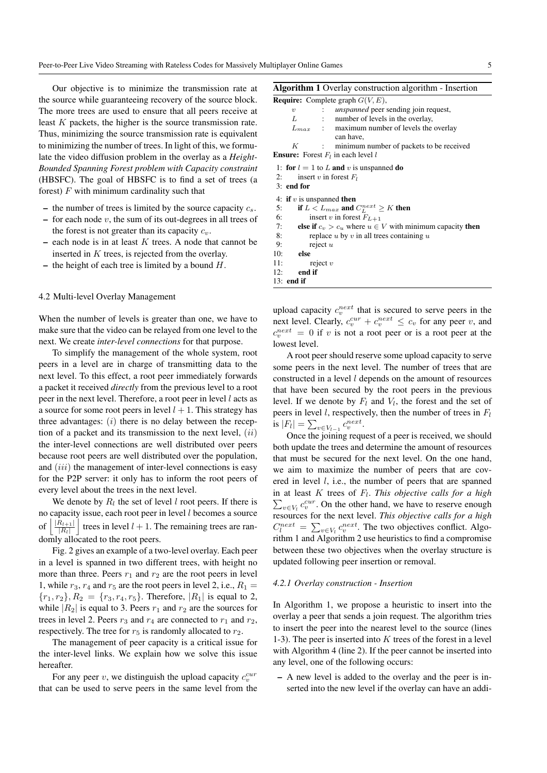Our objective is to minimize the transmission rate at the source while guaranteeing recovery of the source block. The more trees are used to ensure that all peers receive at least K packets, the higher is the source transmission rate. Thus, minimizing the source transmission rate is equivalent to minimizing the number of trees. In light of this, we formulate the video diffusion problem in the overlay as a *Height-Bounded Spanning Forest problem with Capacity constraint* (HBSFC). The goal of HBSFC is to find a set of trees (a forest)  $F$  with minimum cardinality such that

- the number of trees is limited by the source capacity  $c_s$ .
- for each node  $v$ , the sum of its out-degrees in all trees of the forest is not greater than its capacity  $c_v$ .
- each node is in at least  $K$  trees. A node that cannot be inserted in  $K$  trees, is rejected from the overlay.
- the height of each tree is limited by a bound  $H$ .

#### 4.2 Multi-level Overlay Management

When the number of levels is greater than one, we have to make sure that the video can be relayed from one level to the next. We create *inter-level connections* for that purpose.

To simplify the management of the whole system, root peers in a level are in charge of transmitting data to the next level. To this effect, a root peer immediately forwards a packet it received *directly* from the previous level to a root peer in the next level. Therefore, a root peer in level l acts as a source for some root peers in level  $l + 1$ . This strategy has three advantages:  $(i)$  there is no delay between the reception of a packet and its transmission to the next level,  $(ii)$ the inter-level connections are well distributed over peers because root peers are well distributed over the population, and *(iii)* the management of inter-level connections is easy for the P2P server: it only has to inform the root peers of every level about the trees in the next level.

We denote by  $R_l$  the set of level l root peers. If there is no capacity issue, each root peer in level  $l$  becomes a source of  $|R_{l+1}|$  $\left| \frac{R_{l+1}}{|R_l|} \right|$  trees in level  $l + 1$ . The remaining trees are randomly allocated to the root peers.

Fig. 2 gives an example of a two-level overlay. Each peer in a level is spanned in two different trees, with height no more than three. Peers  $r_1$  and  $r_2$  are the root peers in level 1, while  $r_3$ ,  $r_4$  and  $r_5$  are the root peers in level 2, i.e.,  $R_1 =$  ${r_1, r_2}, R_2 = {r_3, r_4, r_5}.$  Therefore,  $|R_1|$  is equal to 2, while  $|R_2|$  is equal to 3. Peers  $r_1$  and  $r_2$  are the sources for trees in level 2. Peers  $r_3$  and  $r_4$  are connected to  $r_1$  and  $r_2$ , respectively. The tree for  $r_5$  is randomly allocated to  $r_2$ .

The management of peer capacity is a critical issue for the inter-level links. We explain how we solve this issue hereafter.

For any peer  $v$ , we distinguish the upload capacity  $c_v^{cur}$ that can be used to serve peers in the same level from the

|  |  |  | <b>Algorithm 1</b> Overlay construction algorithm - Insertion                                                                                                                                                                                                                                                                      |
|--|--|--|------------------------------------------------------------------------------------------------------------------------------------------------------------------------------------------------------------------------------------------------------------------------------------------------------------------------------------|
|  |  |  | $\mathbf{D}$ $\mathbf{A}$ $\mathbf{A}$ $\mathbf{A}$ $\mathbf{A}$ $\mathbf{A}$ $\mathbf{A}$ $\mathbf{A}$ $\mathbf{A}$ $\mathbf{A}$ $\mathbf{A}$ $\mathbf{A}$ $\mathbf{A}$ $\mathbf{A}$ $\mathbf{A}$ $\mathbf{A}$ $\mathbf{A}$ $\mathbf{A}$ $\mathbf{A}$ $\mathbf{A}$ $\mathbf{A}$ $\mathbf{A}$ $\mathbf{A}$ $\mathbf{A}$ $\mathbf{$ |

|     |                                                                      | <b>Require:</b> Complete graph $G(V, E)$ ,                            |  |  |  |
|-----|----------------------------------------------------------------------|-----------------------------------------------------------------------|--|--|--|
|     | $\upsilon$                                                           | : <i>unspanned</i> peer sending join request,                         |  |  |  |
|     | L                                                                    | : number of levels in the overlay,                                    |  |  |  |
|     |                                                                      | $L_{max}$ : maximum number of levels the overlay<br>can have,         |  |  |  |
|     | K                                                                    | : minimum number of packets to be received                            |  |  |  |
|     |                                                                      | <b>Ensure:</b> Forest $F_l$ in each level l                           |  |  |  |
| 2:  | $3:$ end for                                                         | 1: for $l = 1$ to L and v is unspanned do<br>insert v in forest $F_l$ |  |  |  |
|     |                                                                      | 4: if v is unspanned then                                             |  |  |  |
| 5:  |                                                                      | if $L < L_{max}$ and $C_L^{next} \ge K$ then                          |  |  |  |
| 6:  | insert v in forest $F_{L+1}$                                         |                                                                       |  |  |  |
|     | else if $c_v > c_u$ where $u \in V$ with minimum capacity then<br>7: |                                                                       |  |  |  |
| 8:  |                                                                      | replace $u$ by $v$ in all trees containing $u$                        |  |  |  |
| 9:  |                                                                      | reject $u$                                                            |  |  |  |
|     | $10:$ else                                                           |                                                                       |  |  |  |
| 11: |                                                                      | reject $v$                                                            |  |  |  |
| 12: | end if                                                               |                                                                       |  |  |  |
|     | $13:$ end if                                                         |                                                                       |  |  |  |

upload capacity  $c_v^{next}$  that is secured to serve peers in the next level. Clearly,  $c_v^{cur} + c_v^{next} \leq c_v$  for any peer v, and  $c_v^{next} = 0$  if v is not a root peer or is a root peer at the lowest level.

A root peer should reserve some upload capacity to serve some peers in the next level. The number of trees that are constructed in a level l depends on the amount of resources that have been secured by the root peers in the previous level. If we denote by  $F_l$  and  $V_l$ , the forest and the set of peers in level l, respectively, then the number of trees in  $F_l$ is  $|F_l| = \sum_{v \in V_{l-1}} c_v^{next}$ .

Once the joining request of a peer is received, we should both update the trees and determine the amount of resources that must be secured for the next level. On the one hand, we aim to maximize the number of peers that are covered in level l, i.e., the number of peers that are spanned in at least K trees of  $F_l$ . This objective calls for a high in at least *K* trees of  $F_l$ . This objective calls for a high  $\sum_{v \in V_l} c_v^{cur}$ . On the other hand, we have to reserve enough resources for the next level. *This objective calls for a high*  $C_l^{next} = \sum_{v \in V_l} c_v^{next}$ . The two objectives conflict. Algorithm 1 and Algorithm 2 use heuristics to find a compromise between these two objectives when the overlay structure is updated following peer insertion or removal.

#### *4.2.1 Overlay construction - Insertion*

In Algorithm 1, we propose a heuristic to insert into the overlay a peer that sends a join request. The algorithm tries to insert the peer into the nearest level to the source (lines 1-3). The peer is inserted into  $K$  trees of the forest in a level with Algorithm 4 (line 2). If the peer cannot be inserted into any level, one of the following occurs:

– A new level is added to the overlay and the peer is inserted into the new level if the overlay can have an addi-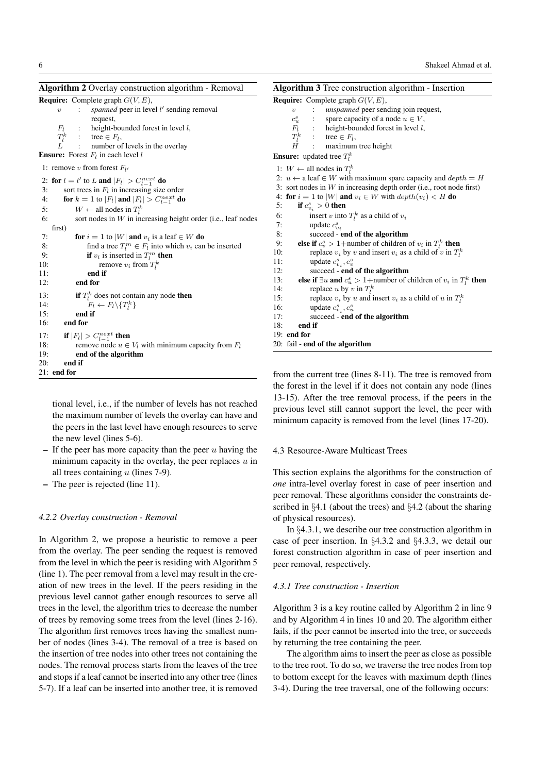| Algorithm 2 Overlay construction algorithm - Removal                                                                                                                                                                                                                                                                                                                                                                                                                                                                                                                                                                                                                                                                                                                                                                                                                                        | Algorithm 3 Tree construction algorithm - Insertion                                                                                                                                                                                                                                                                                                                                                                                                                                                                                                                                                                                                                                                                                                                                                                                                                                                                                                                                                                      |  |  |
|---------------------------------------------------------------------------------------------------------------------------------------------------------------------------------------------------------------------------------------------------------------------------------------------------------------------------------------------------------------------------------------------------------------------------------------------------------------------------------------------------------------------------------------------------------------------------------------------------------------------------------------------------------------------------------------------------------------------------------------------------------------------------------------------------------------------------------------------------------------------------------------------|--------------------------------------------------------------------------------------------------------------------------------------------------------------------------------------------------------------------------------------------------------------------------------------------------------------------------------------------------------------------------------------------------------------------------------------------------------------------------------------------------------------------------------------------------------------------------------------------------------------------------------------------------------------------------------------------------------------------------------------------------------------------------------------------------------------------------------------------------------------------------------------------------------------------------------------------------------------------------------------------------------------------------|--|--|
| <b>Require:</b> Complete graph $G(V, E)$ ,<br><i>spanned</i> peer in level l' sending removal<br>$\upsilon$<br>$\ddot{\phantom{a}}$<br>request,<br>height-bounded forest in level $l$ ,<br>$F_l$<br>$T_l^k$<br>$:$ tree $\in F_l$ ,<br>number of levels in the overlay<br><b>Ensure:</b> Forest $F_l$ in each level l                                                                                                                                                                                                                                                                                                                                                                                                                                                                                                                                                                       | <b>Require:</b> Complete graph $G(V, E)$ ,<br><i>unspanned</i> peer sending join request,<br>$\upsilon$<br>$c_u^s$ :<br>spare capacity of a node $u \in V$ ,<br>$F_l$ :<br>height-bounded forest in level $l$ ,<br>$T_l^k$ : tree $\in F_l$ ,<br>H<br>maximum tree height<br>$\mathcal{L}$<br><b>Ensure:</b> updated tree $T_i^k$                                                                                                                                                                                                                                                                                                                                                                                                                                                                                                                                                                                                                                                                                        |  |  |
| 1: remove v from forest $F_{l'}$<br>2: for $l = l'$ to L and $ F_l  > C_{l-1}^{next}$ do<br>3:<br>sort trees in $F_l$ in increasing size order<br>for $k = 1$ to $ F_l $ and $ F_l  > C_{l-1}^{next}$ do<br>4:<br>$W \leftarrow$ all nodes in $T_l^k$<br>5:<br>sort nodes in $W$ in increasing height order (i.e., leaf nodes<br>6:<br>first)<br>7:<br>for $i = 1$ to  W  and $v_i$ is a leaf $\in W$ do<br>8:<br>find a tree $T_l^m \in F_l$ into which $v_i$ can be inserted<br>9:<br>if $v_i$ is inserted in $T_l^m$ then<br>10:<br>remove $v_i$ from $T_l^k$<br>11:<br>end if<br>end for<br>12:<br>13:<br>if $T_l^k$ does not contain any node then<br>$F_l \leftarrow F_l \backslash \{T_l^k\}$<br>14:<br>15:<br>end if<br>16:<br>end for<br>if $ F_l  > C_{l-1}^{next}$ then<br>17:<br>18:<br>remove node $u \in V_l$ with minimum capacity from $F_l$<br>19:<br>end of the algorithm | 1: $W \leftarrow$ all nodes in $T_l^k$<br>2: $u \leftarrow$ a leaf $\in W$ with maximum spare capacity and $depth = H$<br>3: sort nodes in $W$ in increasing depth order (i.e., root node first)<br>4: for $i = 1$ to  W  and $v_i \in W$ with $depth(v_i) < H$ do<br>5:<br>if $c_{v_i}^s > 0$ then<br>insert v into $T_l^k$ as a child of $v_i$<br>6:<br>7:<br>update $c_{n}^s$ .<br>8:<br>succeed - end of the algorithm<br>else if $c_v^s > 1+$ number of children of $v_i$ in $T_l^k$ then<br>9:<br>10:<br>replace $v_i$ by v and insert $v_i$ as a child of v in $T_l^k$<br>11:<br>update $c_{v_i}^s$ , $c_v^s$<br>12:<br>succeed - end of the algorithm<br>else if $\exists u$ and $c_u^s > 1$ +number of children of $v_i$ in $T_l^k$ then<br>13:<br>14:<br>replace u by v in $T_l^k$<br>replace $v_i$ by u and insert $v_i$ as a child of u in $T_l^k$<br>15:<br>16:<br>update $c_{v_i}^s$ , $c_u^s$<br>17:<br>succeed - end of the algorithm<br>18:<br>end if<br>19: end for<br>20: fail - end of the algorithm |  |  |
| 20:<br>end if<br>$21:$ end for                                                                                                                                                                                                                                                                                                                                                                                                                                                                                                                                                                                                                                                                                                                                                                                                                                                              | from the current tree (lines $8-11$ ). The tree is removed from                                                                                                                                                                                                                                                                                                                                                                                                                                                                                                                                                                                                                                                                                                                                                                                                                                                                                                                                                          |  |  |

tional level, i.e., if the number of levels has not reached the maximum number of levels the overlay can have and the peers in the last level have enough resources to serve the new level (lines 5-6).

- $-$  If the peer has more capacity than the peer u having the minimum capacity in the overlay, the peer replaces  $u$  in all trees containing  $u$  (lines 7-9).
- The peer is rejected (line 11).

# *4.2.2 Overlay construction - Removal*

In Algorithm 2, we propose a heuristic to remove a peer from the overlay. The peer sending the request is removed from the level in which the peer is residing with Algorithm 5 (line 1). The peer removal from a level may result in the creation of new trees in the level. If the peers residing in the previous level cannot gather enough resources to serve all trees in the level, the algorithm tries to decrease the number of trees by removing some trees from the level (lines 2-16). The algorithm first removes trees having the smallest number of nodes (lines 3-4). The removal of a tree is based on the insertion of tree nodes into other trees not containing the nodes. The removal process starts from the leaves of the tree and stops if a leaf cannot be inserted into any other tree (lines 5-7). If a leaf can be inserted into another tree, it is removed

from the current tree (lines 8-11). The tree is removed from the forest in the level if it does not contain any node (lines 13-15). After the tree removal process, if the peers in the previous level still cannot support the level, the peer with minimum capacity is removed from the level (lines 17-20).

### 4.3 Resource-Aware Multicast Trees

This section explains the algorithms for the construction of *one* intra-level overlay forest in case of peer insertion and peer removal. These algorithms consider the constraints described in §4.1 (about the trees) and §4.2 (about the sharing of physical resources).

In §4.3.1, we describe our tree construction algorithm in case of peer insertion. In §4.3.2 and §4.3.3, we detail our forest construction algorithm in case of peer insertion and peer removal, respectively.

# *4.3.1 Tree construction - Insertion*

Algorithm 3 is a key routine called by Algorithm 2 in line 9 and by Algorithm 4 in lines 10 and 20. The algorithm either fails, if the peer cannot be inserted into the tree, or succeeds by returning the tree containing the peer.

The algorithm aims to insert the peer as close as possible to the tree root. To do so, we traverse the tree nodes from top to bottom except for the leaves with maximum depth (lines 3-4). During the tree traversal, one of the following occurs: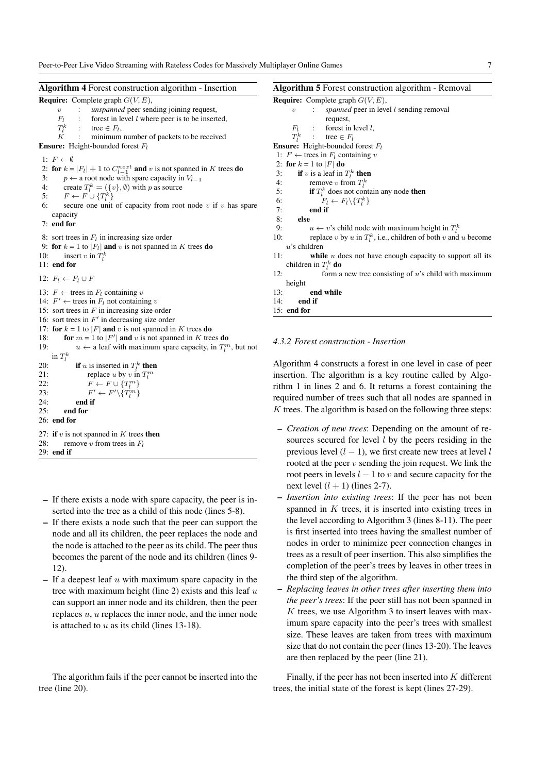| <b>Algorithm 4</b> Forest construction algorithm - Insertion                                                                                       | <b>Algorithm 5</b> Forest construction algorithm - Removal          |
|----------------------------------------------------------------------------------------------------------------------------------------------------|---------------------------------------------------------------------|
| <b>Require:</b> Complete graph $G(V, E)$ ,                                                                                                         | <b>Require:</b> Complete graph $G(V, E)$ ,                          |
| unspanned peer sending joining request,<br>$\sim$<br>$\upsilon$                                                                                    | spanned peer in level $l$ sending removal<br>$\boldsymbol{v}$       |
| forest in level <i>l</i> where peer is to be inserted,<br>$F_l$                                                                                    | request,                                                            |
| $T_l^k$ : tree $\in F_l$ ,                                                                                                                         | $\ddot{\cdot}$<br>forest in level $l$ ,<br>$F_l$                    |
| minimum number of packets to be received<br>K                                                                                                      | $T_l^k$<br>tree $\in$ $F_l$                                         |
| <b>Ensure:</b> Height-bounded forest $F_l$                                                                                                         | <b>Ensure:</b> Height-bounded forest $F_l$                          |
| 1: $F \leftarrow \emptyset$                                                                                                                        | 1: $F \leftarrow$ trees in $F_l$ containing v                       |
|                                                                                                                                                    | 2: for $k = 1$ to $ F $ do                                          |
| 2: for $k =  F_l  + 1$ to $C_{l-1}^{next}$ and v is not spanned in K trees do<br>3:<br>$p \leftarrow$ a root node with spare capacity in $V_{l-1}$ | <b>if</b> v is a leaf in $T_l^k$ then<br>3:                         |
| 4:<br>create $T_l^k = (\{v\}, \emptyset)$ with p as source                                                                                         | 4:<br>remove v from $T_l^k$                                         |
| 5:<br>$F \leftarrow F \cup \{T_l^k\}$                                                                                                              | 5:<br>if $T_l^k$ does not contain any node then                     |
| secure one unit of capacity from root node $v$ if $v$ has spare<br>6:                                                                              | $F_l \leftarrow F_l \backslash \{T_l^k\}$<br>6:                     |
|                                                                                                                                                    | 7:<br>end if                                                        |
| capacity<br>$7:$ end for                                                                                                                           | 8:<br>else                                                          |
|                                                                                                                                                    | 9:<br>$u \leftarrow v$ 's child node with maximum height in $T_l^k$ |
| 8: sort trees in $F_l$ in increasing size order                                                                                                    | replace v by u in $T_l^k$ , i.e., children of both v and u b<br>10: |
| 9: for $k = 1$ to $ F_l $ and v is not spanned in K trees do                                                                                       | $u$ 's children                                                     |
| 10:<br>insert v in $T_l^k$                                                                                                                         | while $u$ does not have enough capacity to support<br>11:           |
| $11:$ end for                                                                                                                                      | children in $T_l^k$ do                                              |
| 12: $F_l \leftarrow F_l \cup F$                                                                                                                    | 12:<br>form a new tree consisting of $u$ 's child with ma           |
|                                                                                                                                                    | height                                                              |
| 13: $F \leftarrow$ trees in $F_l$ containing v                                                                                                     | end while<br>13:                                                    |
| 14: $F' \leftarrow$ trees in $F_l$ not containing v                                                                                                | 14:<br>end if                                                       |
| 15: sort trees in $F$ in increasing size order                                                                                                     | $15:$ end for                                                       |
| 16: sort trees in $F'$ in decreasing size order                                                                                                    |                                                                     |
| 17: for $k = 1$ to  F  and v is not spanned in K trees do                                                                                          |                                                                     |
| 18:<br>for $m = 1$ to $ F' $ and v is not spanned in K trees do                                                                                    | 4.3.2 Forest construction - Insertion                               |
| 19:<br>$u \leftarrow$ a leaf with maximum spare capacity, in $T_l^m$ , but not                                                                     |                                                                     |
| in $T_l^k$                                                                                                                                         |                                                                     |
| <b>if</b> u is inserted in $T_l^k$ <b>then</b><br>20:                                                                                              | Algorithm 4 constructs a forest in one level in case of             |
| 21:<br>replace u by v in $T_l^m$                                                                                                                   | insertion. The algorithm is a key routine called by                 |
| 22:<br>$F \leftarrow F \cup \{T_l^m\}$                                                                                                             | rithm 1 in lines 2 and 6. It returns a forest containin             |
| 23:<br>$F' \leftarrow F' \setminus \{T_l^m\}$                                                                                                      |                                                                     |
| 24:<br>end if                                                                                                                                      | required number of trees such that all nodes are span               |
| 25:<br>end for                                                                                                                                     | K trees. The algorithm is based on the following three              |
| $26:$ end for                                                                                                                                      |                                                                     |
| 27: if $v$ is not spanned in $K$ trees then                                                                                                        | - <i>Creation of new trees</i> : Depending on the amount            |
| 28:<br>remove v from trees in $F_l$                                                                                                                | sources secured for level $l$ by the peers residing                 |
| 29: end if                                                                                                                                         | previous level $(l - 1)$ , we first create new trees at 1           |
|                                                                                                                                                    |                                                                     |

- If there exists a node with spare capacity, the peer is inserted into the tree as a child of this node (lines 5-8).
- If there exists a node such that the peer can support the node and all its children, the peer replaces the node and the node is attached to the peer as its child. The peer thus becomes the parent of the node and its children (lines 9- 12).
- $-$  If a deepest leaf u with maximum spare capacity in the tree with maximum height (line 2) exists and this leaf  $u$ can support an inner node and its children, then the peer replaces u, u replaces the inner node, and the inner node is attached to  $u$  as its child (lines 13-18).

|     |              | <b>Require:</b> Complete graph $G(V, E)$ ,                                                                                            |
|-----|--------------|---------------------------------------------------------------------------------------------------------------------------------------|
|     |              | $v$ : <i>spanned</i> peer in level <i>l</i> sending removal                                                                           |
|     |              | request,                                                                                                                              |
|     |              | $F_l$ : forest in level l,                                                                                                            |
|     |              | $T_l^k$ : tree $\in F_l$                                                                                                              |
|     |              | <b>Ensure:</b> Height-bounded forest $F_l$                                                                                            |
|     |              | 1: $F \leftarrow$ trees in $F_l$ containing v                                                                                         |
|     |              | 2: for $k = 1$ to $ F $ do                                                                                                            |
|     |              | 3: if v is a leaf in $T_l^k$ then                                                                                                     |
|     |              |                                                                                                                                       |
|     |              |                                                                                                                                       |
|     |              | 4: remove v from $T_l^k$<br>5: <b>if</b> $T_l^k$ does not contain any node <b>then</b><br>6: $F_l \leftarrow F_l \setminus \{T_l^k\}$ |
|     |              | $7:$ end if                                                                                                                           |
|     | 8: else      |                                                                                                                                       |
|     | 9:           | $u \leftarrow v$ 's child node with maximum height in $T_l^k$                                                                         |
|     | 10:          | replace v by u in $T_l^k$ , i.e., children of both v and u become                                                                     |
|     |              | $u$ 's children                                                                                                                       |
| 11: |              | <b>while</b> $u$ does not have enough capacity to support all its                                                                     |
|     |              | children in $T_l^k$ do                                                                                                                |
| 12: |              | form a new tree consisting of $u$ 's child with maximum                                                                               |
|     | height       |                                                                                                                                       |
|     |              | 13: end while                                                                                                                         |
|     | $14:$ end if |                                                                                                                                       |
|     | 15: end for  |                                                                                                                                       |
|     |              |                                                                                                                                       |

of peer iy Algoning the anned in ee steps:

- *Creation of new trees*: Depending on the amount of reng in the at level  $l$ rooted at the peer  $v$  sending the join request. We link the root peers in levels  $l - 1$  to v and secure capacity for the next level  $(l + 1)$  (lines 2-7).
- *Insertion into existing trees*: If the peer has not been spanned in  $K$  trees, it is inserted into existing trees in the level according to Algorithm 3 (lines 8-11). The peer is first inserted into trees having the smallest number of nodes in order to minimize peer connection changes in trees as a result of peer insertion. This also simplifies the completion of the peer's trees by leaves in other trees in the third step of the algorithm.
- *Replacing leaves in other trees after inserting them into the peer's trees*: If the peer still has not been spanned in  $K$  trees, we use Algorithm 3 to insert leaves with maximum spare capacity into the peer's trees with smallest size. These leaves are taken from trees with maximum size that do not contain the peer (lines 13-20). The leaves are then replaced by the peer (line 21).

Finally, if the peer has not been inserted into  $K$  different trees, the initial state of the forest is kept (lines 27-29).

The algorithm fails if the peer cannot be inserted into the tree (line 20).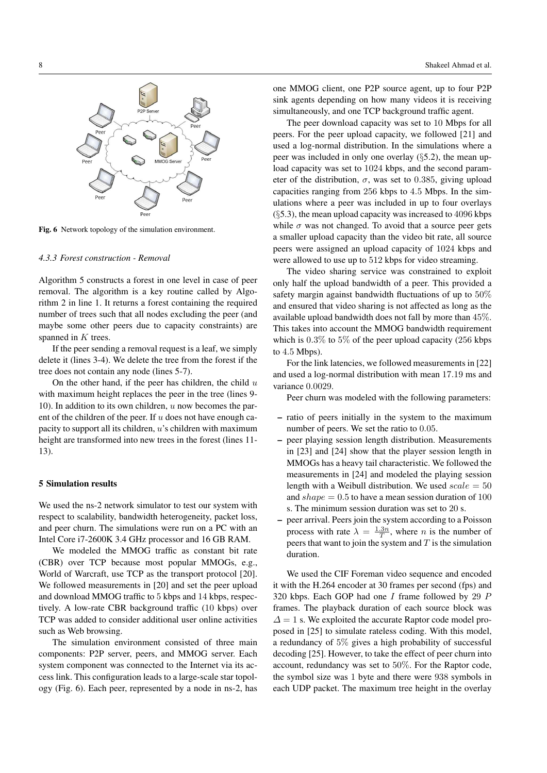

Fig. 6 Network topology of the simulation environment.

# *4.3.3 Forest construction - Removal*

Algorithm 5 constructs a forest in one level in case of peer removal. The algorithm is a key routine called by Algorithm 2 in line 1. It returns a forest containing the required number of trees such that all nodes excluding the peer (and maybe some other peers due to capacity constraints) are spanned in K trees.

If the peer sending a removal request is a leaf, we simply delete it (lines 3-4). We delete the tree from the forest if the tree does not contain any node (lines 5-7).

On the other hand, if the peer has children, the child  $u$ with maximum height replaces the peer in the tree (lines 9-10). In addition to its own children,  $u$  now becomes the parent of the children of the peer. If  $u$  does not have enough capacity to support all its children, u's children with maximum height are transformed into new trees in the forest (lines 11- 13).

#### 5 Simulation results

We used the ns-2 network simulator to test our system with respect to scalability, bandwidth heterogeneity, packet loss, and peer churn. The simulations were run on a PC with an Intel Core i7-2600K 3.4 GHz processor and 16 GB RAM.

We modeled the MMOG traffic as constant bit rate (CBR) over TCP because most popular MMOGs, e.g., World of Warcraft, use TCP as the transport protocol [20]. We followed measurements in [20] and set the peer upload and download MMOG traffic to 5 kbps and 14 kbps, respectively. A low-rate CBR background traffic (10 kbps) over TCP was added to consider additional user online activities such as Web browsing.

The simulation environment consisted of three main components: P2P server, peers, and MMOG server. Each system component was connected to the Internet via its access link. This configuration leads to a large-scale star topology (Fig. 6). Each peer, represented by a node in ns-2, has

one MMOG client, one P2P source agent, up to four P2P sink agents depending on how many videos it is receiving simultaneously, and one TCP background traffic agent.

The peer download capacity was set to 10 Mbps for all peers. For the peer upload capacity, we followed [21] and used a log-normal distribution. In the simulations where a peer was included in only one overlay (§5.2), the mean upload capacity was set to 1024 kbps, and the second parameter of the distribution,  $\sigma$ , was set to 0.385, giving upload capacities ranging from 256 kbps to 4.5 Mbps. In the simulations where a peer was included in up to four overlays (§5.3), the mean upload capacity was increased to 4096 kbps while  $\sigma$  was not changed. To avoid that a source peer gets a smaller upload capacity than the video bit rate, all source peers were assigned an upload capacity of 1024 kbps and were allowed to use up to 512 kbps for video streaming.

The video sharing service was constrained to exploit only half the upload bandwidth of a peer. This provided a safety margin against bandwidth fluctuations of up to 50% and ensured that video sharing is not affected as long as the available upload bandwidth does not fall by more than 45%. This takes into account the MMOG bandwidth requirement which is  $0.3\%$  to  $5\%$  of the peer upload capacity (256 kbps to 4.5 Mbps).

For the link latencies, we followed measurements in [22] and used a log-normal distribution with mean 17.19 ms and variance 0.0029.

Peer churn was modeled with the following parameters:

- ratio of peers initially in the system to the maximum number of peers. We set the ratio to 0.05.
- peer playing session length distribution. Measurements in [23] and [24] show that the player session length in MMOGs has a heavy tail characteristic. We followed the measurements in [24] and modeled the playing session length with a Weibull distribution. We used  $scale = 50$ and  $shape = 0.5$  to have a mean session duration of 100 s. The minimum session duration was set to 20 s.
- peer arrival. Peers join the system according to a Poisson process with rate  $\lambda = \frac{1.3n}{T}$ , where *n* is the number of peers that want to join the system and  $T$  is the simulation duration.

We used the CIF Foreman video sequence and encoded it with the H.264 encoder at 30 frames per second (fps) and 320 kbps. Each GOP had one  $I$  frame followed by 29  $P$ frames. The playback duration of each source block was  $\Delta = 1$  s. We exploited the accurate Raptor code model proposed in [25] to simulate rateless coding. With this model, a redundancy of 5% gives a high probability of successful decoding [25]. However, to take the effect of peer churn into account, redundancy was set to 50%. For the Raptor code, the symbol size was 1 byte and there were 938 symbols in each UDP packet. The maximum tree height in the overlay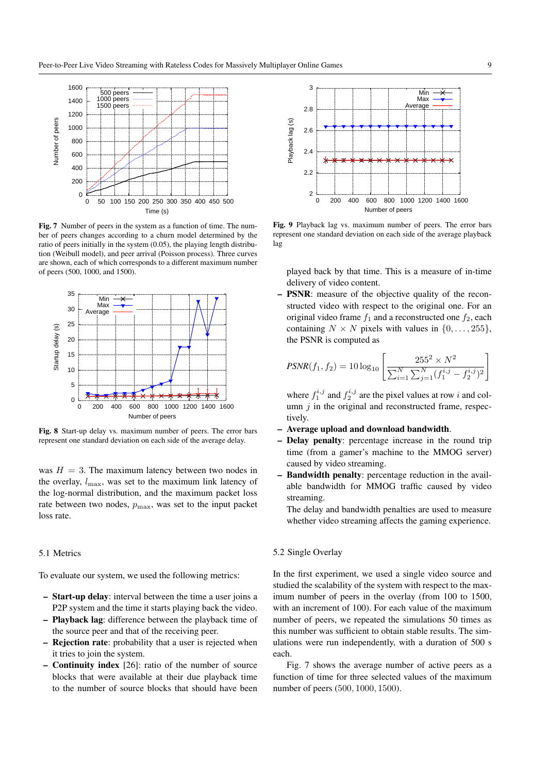

Fig. 7 Number of peers in the system as a function of time. The number of peers changes according to a churn model determined by the ratio of peers initially in the system (0.05), the playing length distribution (Weibull model), and peer arrival (Poisson process). Three curves are shown, each of which corresponds to a different maximum number of peers (500, 1000, and 1500).



Fig. 8 Start-up delay vs. maximum number of peers. The error bars represent one standard deviation on each side of the average delay.

was  $H = 3$ . The maximum latency between two nodes in the overlay,  $l_{\text{max}}$ , was set to the maximum link latency of the log-normal distribution, and the maximum packet loss rate between two nodes,  $p_{\text{max}}$ , was set to the input packet loss rate.

#### 5.1 Metrics

To evaluate our system, we used the following metrics:

- **Start-up delay:** interval between the time a user joins a P2P system and the time it starts playing back the video.
- Playback lag: difference between the playback time of the source peer and that of the receiving peer.
- Rejection rate: probability that a user is rejected when it tries to join the system.
- Continuity index [26]: ratio of the number of source blocks that were available at their due playback time to the number of source blocks that should have been



Fig. 9 Playback lag vs. maximum number of peers. The error bars represent one standard deviation on each side of the average playback lag

played back by that time. This is a measure of in-time delivery of video content.

– PSNR: measure of the objective quality of the reconstructed video with respect to the original one. For an original video frame  $f_1$  and a reconstructed one  $f_2$ , each containing  $N \times N$  pixels with values in  $\{0, \ldots, 255\},\$ the PSNR is computed as

$$
PSNR(f_1, f_2) = 10 \log_{10} \left[ \frac{255^2 \times N^2}{\sum_{i=1}^N \sum_{j=1}^N (f_1^{i,j} - f_2^{i,j})^2} \right]
$$

where  $f_1^{i,j}$  and  $f_2^{i,j}$  are the pixel values at row i and column  $j$  in the original and reconstructed frame, respectively.

- Average upload and download bandwidth.
- Delay penalty: percentage increase in the round trip time (from a gamer's machine to the MMOG server) caused by video streaming.
- Bandwidth penalty: percentage reduction in the available bandwidth for MMOG traffic caused by video streaming.

The delay and bandwidth penalties are used to measure whether video streaming affects the gaming experience.

# 5.2 Single Overlay

In the first experiment, we used a single video source and studied the scalability of the system with respect to the maximum number of peers in the overlay (from 100 to 1500, with an increment of 100). For each value of the maximum number of peers, we repeated the simulations 50 times as this number was sufficient to obtain stable results. The simulations were run independently, with a duration of 500 s each.

Fig. 7 shows the average number of active peers as a function of time for three selected values of the maximum number of peers (500, 1000, 1500).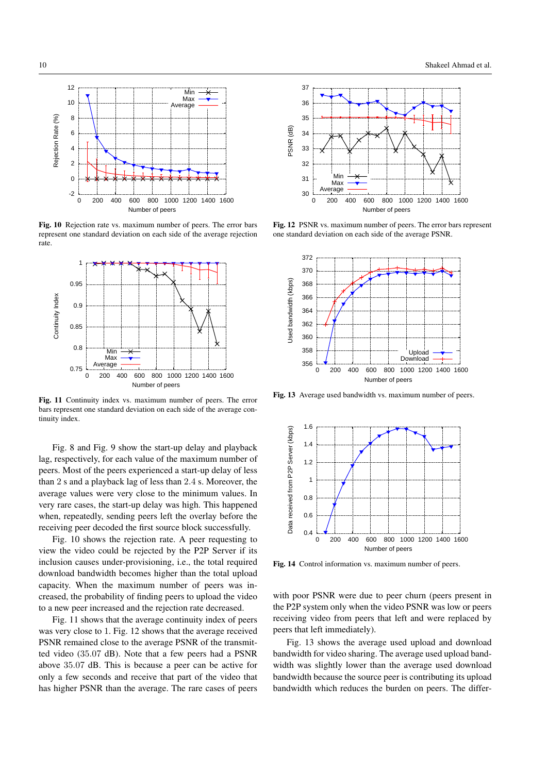

Fig. 10 Rejection rate vs. maximum number of peers. The error bars represent one standard deviation on each side of the average rejection rate.



Fig. 11 Continuity index vs. maximum number of peers. The error bars represent one standard deviation on each side of the average continuity index.

Fig. 8 and Fig. 9 show the start-up delay and playback lag, respectively, for each value of the maximum number of peers. Most of the peers experienced a start-up delay of less than 2 s and a playback lag of less than 2.4 s. Moreover, the average values were very close to the minimum values. In very rare cases, the start-up delay was high. This happened when, repeatedly, sending peers left the overlay before the receiving peer decoded the first source block successfully.

Fig. 10 shows the rejection rate. A peer requesting to view the video could be rejected by the P2P Server if its inclusion causes under-provisioning, i.e., the total required download bandwidth becomes higher than the total upload capacity. When the maximum number of peers was increased, the probability of finding peers to upload the video to a new peer increased and the rejection rate decreased.

Fig. 11 shows that the average continuity index of peers was very close to 1. Fig. 12 shows that the average received PSNR remained close to the average PSNR of the transmitted video (35.07 dB). Note that a few peers had a PSNR above 35.07 dB. This is because a peer can be active for only a few seconds and receive that part of the video that has higher PSNR than the average. The rare cases of peers



Fig. 12 PSNR vs. maximum number of peers. The error bars represent one standard deviation on each side of the average PSNR.



Fig. 13 Average used bandwidth vs. maximum number of peers.



Fig. 14 Control information vs. maximum number of peers.

with poor PSNR were due to peer churn (peers present in the P2P system only when the video PSNR was low or peers receiving video from peers that left and were replaced by peers that left immediately).

Fig. 13 shows the average used upload and download bandwidth for video sharing. The average used upload bandwidth was slightly lower than the average used download bandwidth because the source peer is contributing its upload bandwidth which reduces the burden on peers. The differ-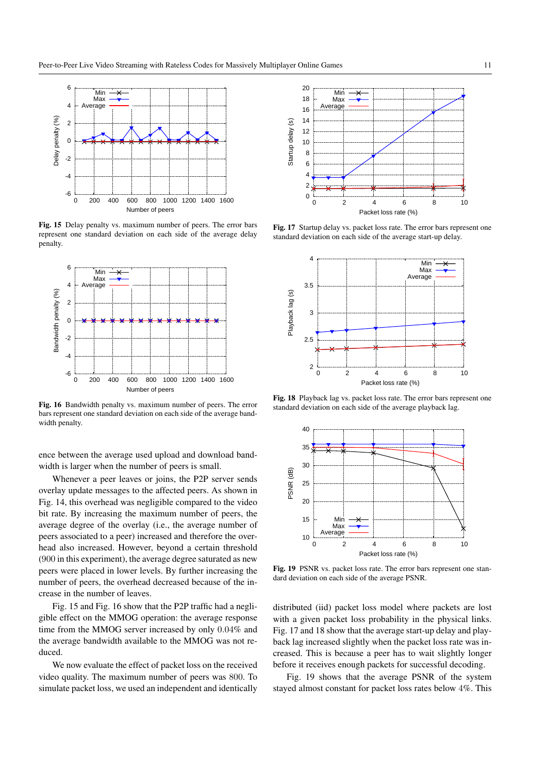

Fig. 15 Delay penalty vs. maximum number of peers. The error bars represent one standard deviation on each side of the average delay penalty.



Fig. 16 Bandwidth penalty vs. maximum number of peers. The error bars represent one standard deviation on each side of the average bandwidth penalty.

ence between the average used upload and download bandwidth is larger when the number of peers is small.

Whenever a peer leaves or joins, the P2P server sends overlay update messages to the affected peers. As shown in Fig. 14, this overhead was negligible compared to the video bit rate. By increasing the maximum number of peers, the average degree of the overlay (i.e., the average number of peers associated to a peer) increased and therefore the overhead also increased. However, beyond a certain threshold (900 in this experiment), the average degree saturated as new peers were placed in lower levels. By further increasing the number of peers, the overhead decreased because of the increase in the number of leaves.

Fig. 15 and Fig. 16 show that the P2P traffic had a negligible effect on the MMOG operation: the average response time from the MMOG server increased by only 0.04% and the average bandwidth available to the MMOG was not reduced.

We now evaluate the effect of packet loss on the received video quality. The maximum number of peers was 800. To simulate packet loss, we used an independent and identically



Fig. 17 Startup delay vs. packet loss rate. The error bars represent one standard deviation on each side of the average start-up delay.



Fig. 18 Playback lag vs. packet loss rate. The error bars represent one standard deviation on each side of the average playback lag.



Fig. 19 PSNR vs. packet loss rate. The error bars represent one standard deviation on each side of the average PSNR.

distributed (iid) packet loss model where packets are lost with a given packet loss probability in the physical links. Fig. 17 and 18 show that the average start-up delay and playback lag increased slightly when the packet loss rate was increased. This is because a peer has to wait slightly longer before it receives enough packets for successful decoding.

Fig. 19 shows that the average PSNR of the system stayed almost constant for packet loss rates below 4%. This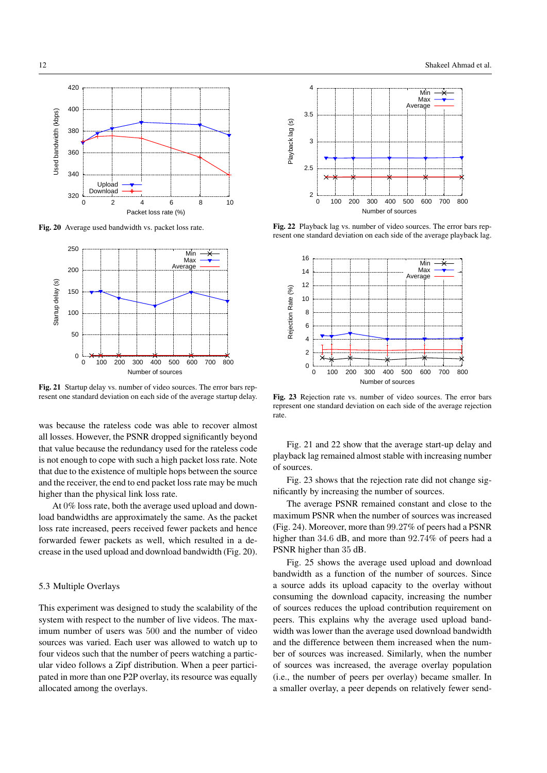

Fig. 20 Average used bandwidth vs. packet loss rate.



Fig. 21 Startup delay vs. number of video sources. The error bars represent one standard deviation on each side of the average startup delay.

was because the rateless code was able to recover almost all losses. However, the PSNR dropped significantly beyond that value because the redundancy used for the rateless code is not enough to cope with such a high packet loss rate. Note that due to the existence of multiple hops between the source and the receiver, the end to end packet loss rate may be much higher than the physical link loss rate.

At 0% loss rate, both the average used upload and download bandwidths are approximately the same. As the packet loss rate increased, peers received fewer packets and hence forwarded fewer packets as well, which resulted in a decrease in the used upload and download bandwidth (Fig. 20).

# 5.3 Multiple Overlays

This experiment was designed to study the scalability of the system with respect to the number of live videos. The maximum number of users was 500 and the number of video sources was varied. Each user was allowed to watch up to four videos such that the number of peers watching a particular video follows a Zipf distribution. When a peer participated in more than one P2P overlay, its resource was equally allocated among the overlays.



Fig. 22 Playback lag vs. number of video sources. The error bars represent one standard deviation on each side of the average playback lag.



Fig. 23 Rejection rate vs. number of video sources. The error bars represent one standard deviation on each side of the average rejection rate.

Fig. 21 and 22 show that the average start-up delay and playback lag remained almost stable with increasing number of sources.

Fig. 23 shows that the rejection rate did not change significantly by increasing the number of sources.

The average PSNR remained constant and close to the maximum PSNR when the number of sources was increased (Fig. 24). Moreover, more than 99.27% of peers had a PSNR higher than 34.6 dB, and more than 92.74% of peers had a PSNR higher than 35 dB.

Fig. 25 shows the average used upload and download bandwidth as a function of the number of sources. Since a source adds its upload capacity to the overlay without consuming the download capacity, increasing the number of sources reduces the upload contribution requirement on peers. This explains why the average used upload bandwidth was lower than the average used download bandwidth and the difference between them increased when the number of sources was increased. Similarly, when the number of sources was increased, the average overlay population (i.e., the number of peers per overlay) became smaller. In a smaller overlay, a peer depends on relatively fewer send-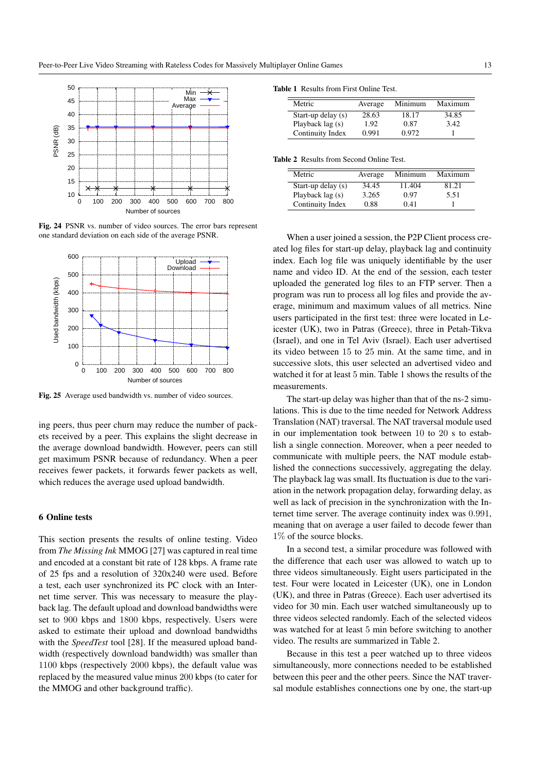

Fig. 24 PSNR vs. number of video sources. The error bars represent one standard deviation on each side of the average PSNR.



Fig. 25 Average used bandwidth vs. number of video sources.

ing peers, thus peer churn may reduce the number of packets received by a peer. This explains the slight decrease in the average download bandwidth. However, peers can still get maximum PSNR because of redundancy. When a peer receives fewer packets, it forwards fewer packets as well, which reduces the average used upload bandwidth.

# 6 Online tests

This section presents the results of online testing. Video from *The Missing Ink* MMOG [27] was captured in real time and encoded at a constant bit rate of 128 kbps. A frame rate of 25 fps and a resolution of 320x240 were used. Before a test, each user synchronized its PC clock with an Internet time server. This was necessary to measure the playback lag. The default upload and download bandwidths were set to 900 kbps and 1800 kbps, respectively. Users were asked to estimate their upload and download bandwidths with the *SpeedTest* tool [28]. If the measured upload bandwidth (respectively download bandwidth) was smaller than 1100 kbps (respectively 2000 kbps), the default value was replaced by the measured value minus 200 kbps (to cater for the MMOG and other background traffic).

| Average | Minimum | Maximum |
|---------|---------|---------|
| 28.63   | 18.17   | 34.85   |
| 1.92    | 0.87    | 3.42    |
| 0.991   | 0.972   |         |
|         |         |         |

#### Table 2 Results from Second Online Test.

| Metric             | Average | Minimum | Maximum |
|--------------------|---------|---------|---------|
| Start-up delay (s) | 34.45   | 11.404  | 81.21   |
| Playback lag (s)   | 3.265   | 0.97    | 5.51    |
| Continuity Index   | 0.88    | 0.41    |         |

When a user joined a session, the P2P Client process created log files for start-up delay, playback lag and continuity index. Each log file was uniquely identifiable by the user name and video ID. At the end of the session, each tester uploaded the generated log files to an FTP server. Then a program was run to process all log files and provide the average, minimum and maximum values of all metrics. Nine users participated in the first test: three were located in Leicester (UK), two in Patras (Greece), three in Petah-Tikva (Israel), and one in Tel Aviv (Israel). Each user advertised its video between 15 to 25 min. At the same time, and in successive slots, this user selected an advertised video and watched it for at least 5 min. Table 1 shows the results of the measurements.

The start-up delay was higher than that of the ns-2 simulations. This is due to the time needed for Network Address Translation (NAT) traversal. The NAT traversal module used in our implementation took between 10 to 20 s to establish a single connection. Moreover, when a peer needed to communicate with multiple peers, the NAT module established the connections successively, aggregating the delay. The playback lag was small. Its fluctuation is due to the variation in the network propagation delay, forwarding delay, as well as lack of precision in the synchronization with the Internet time server. The average continuity index was 0.991, meaning that on average a user failed to decode fewer than 1% of the source blocks.

In a second test, a similar procedure was followed with the difference that each user was allowed to watch up to three videos simultaneously. Eight users participated in the test. Four were located in Leicester (UK), one in London (UK), and three in Patras (Greece). Each user advertised its video for 30 min. Each user watched simultaneously up to three videos selected randomly. Each of the selected videos was watched for at least 5 min before switching to another video. The results are summarized in Table 2.

Because in this test a peer watched up to three videos simultaneously, more connections needed to be established between this peer and the other peers. Since the NAT traversal module establishes connections one by one, the start-up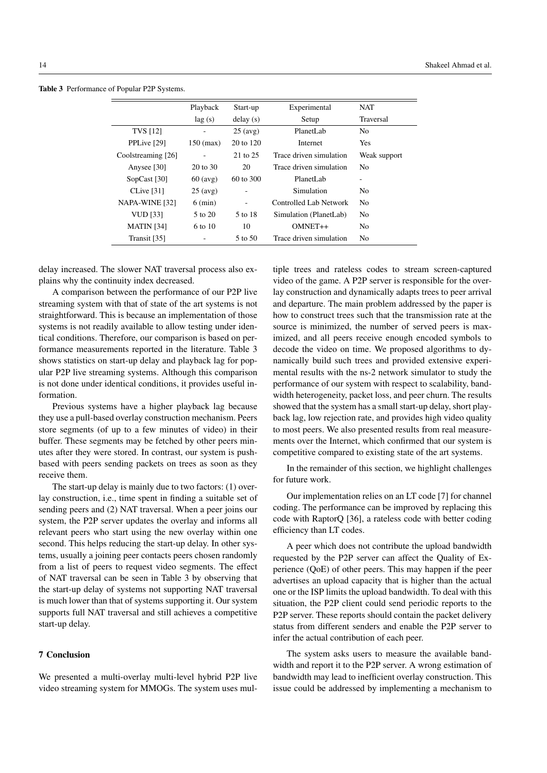|                    | Playback            | Start-up          | Experimental            | <b>NAT</b>     |
|--------------------|---------------------|-------------------|-------------------------|----------------|
|                    | lag(s)              | delay(s)          | Setup                   | Traversal      |
| <b>TVS</b> [12]    | -                   | $25$ (avg)        | PlanetLab               | N <sub>0</sub> |
| PPLive [29]        | $150$ (max)         | 20 to 120         | <b>Internet</b>         | Yes            |
| Coolstreaming [26] |                     | 21 to 25          | Trace driven simulation | Weak support   |
| Anysee [30]        | $20 \text{ to } 30$ | 20                | Trace driven simulation | N <sub>0</sub> |
| $SopCast$ [30]     | $60$ (avg)          | 60 to 300         | PlanetLab               | ۰              |
| CLive $[31]$       | $25 \text{ (avg)}$  |                   | Simulation              | N <sub>0</sub> |
| NAPA-WINE [32]     | $6 \text{ (min)}$   | $\qquad \qquad -$ | Controlled Lab Network  | N <sub>0</sub> |
| VUD [33]           | 5 to 20             | 5 to 18           | Simulation (PlanetLab)  | No             |
| <b>MATIN</b> [34]  | 6 to 10             | 10                | $OMNET++$               | N <sub>0</sub> |
| Transit [35]       |                     | 5 to 50           | Trace driven simulation | N <sub>0</sub> |
|                    |                     |                   |                         |                |

Table 3 Performance of Popular P2P Systems.

delay increased. The slower NAT traversal process also explains why the continuity index decreased.

A comparison between the performance of our P2P live streaming system with that of state of the art systems is not straightforward. This is because an implementation of those systems is not readily available to allow testing under identical conditions. Therefore, our comparison is based on performance measurements reported in the literature. Table 3 shows statistics on start-up delay and playback lag for popular P2P live streaming systems. Although this comparison is not done under identical conditions, it provides useful information.

Previous systems have a higher playback lag because they use a pull-based overlay construction mechanism. Peers store segments (of up to a few minutes of video) in their buffer. These segments may be fetched by other peers minutes after they were stored. In contrast, our system is pushbased with peers sending packets on trees as soon as they receive them.

The start-up delay is mainly due to two factors: (1) overlay construction, i.e., time spent in finding a suitable set of sending peers and (2) NAT traversal. When a peer joins our system, the P2P server updates the overlay and informs all relevant peers who start using the new overlay within one second. This helps reducing the start-up delay. In other systems, usually a joining peer contacts peers chosen randomly from a list of peers to request video segments. The effect of NAT traversal can be seen in Table 3 by observing that the start-up delay of systems not supporting NAT traversal is much lower than that of systems supporting it. Our system supports full NAT traversal and still achieves a competitive start-up delay.

# 7 Conclusion

We presented a multi-overlay multi-level hybrid P2P live video streaming system for MMOGs. The system uses multiple trees and rateless codes to stream screen-captured video of the game. A P2P server is responsible for the overlay construction and dynamically adapts trees to peer arrival and departure. The main problem addressed by the paper is how to construct trees such that the transmission rate at the source is minimized, the number of served peers is maximized, and all peers receive enough encoded symbols to decode the video on time. We proposed algorithms to dynamically build such trees and provided extensive experimental results with the ns-2 network simulator to study the performance of our system with respect to scalability, bandwidth heterogeneity, packet loss, and peer churn. The results showed that the system has a small start-up delay, short playback lag, low rejection rate, and provides high video quality to most peers. We also presented results from real measurements over the Internet, which confirmed that our system is competitive compared to existing state of the art systems.

In the remainder of this section, we highlight challenges for future work.

Our implementation relies on an LT code [7] for channel coding. The performance can be improved by replacing this code with RaptorQ [36], a rateless code with better coding efficiency than LT codes.

A peer which does not contribute the upload bandwidth requested by the P2P server can affect the Quality of Experience (QoE) of other peers. This may happen if the peer advertises an upload capacity that is higher than the actual one or the ISP limits the upload bandwidth. To deal with this situation, the P2P client could send periodic reports to the P2P server. These reports should contain the packet delivery status from different senders and enable the P2P server to infer the actual contribution of each peer.

The system asks users to measure the available bandwidth and report it to the P2P server. A wrong estimation of bandwidth may lead to inefficient overlay construction. This issue could be addressed by implementing a mechanism to